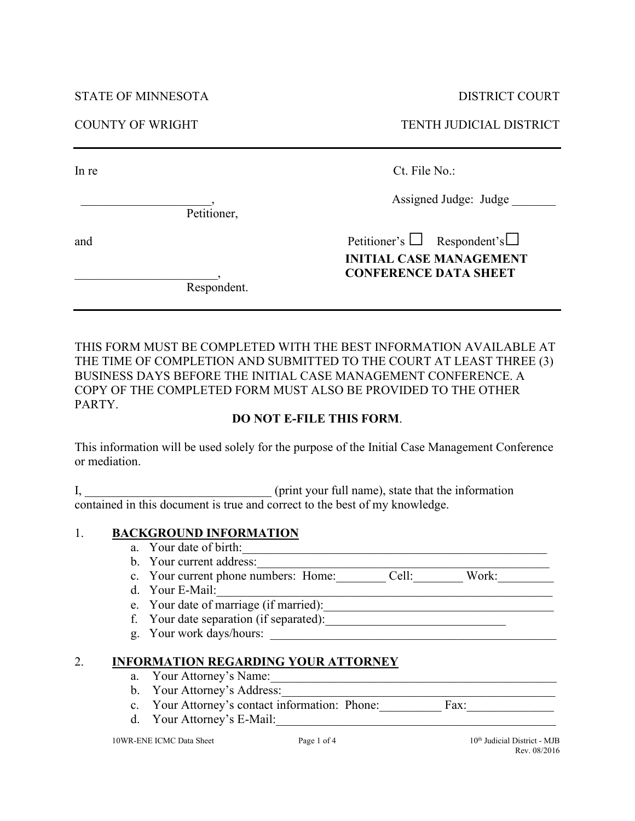STATE OF MINNESOTA DISTRICT COURT

Petitioner,

COUNTY OF WRIGHT TENTH JUDICIAL DISTRICT

In re Ct. File No.:

Assigned Judge: Judge

and Petitioner's □ Respondent's □  **INITIAL CASE MANAGEMENT** \_\_\_\_\_\_\_\_\_\_\_\_\_\_\_\_\_\_\_\_\_\_\_, **CONFERENCE DATA SHEET**

Respondent.

THIS FORM MUST BE COMPLETED WITH THE BEST INFORMATION AVAILABLE AT THE TIME OF COMPLETION AND SUBMITTED TO THE COURT AT LEAST THREE (3) BUSINESS DAYS BEFORE THE INITIAL CASE MANAGEMENT CONFERENCE. A COPY OF THE COMPLETED FORM MUST ALSO BE PROVIDED TO THE OTHER PARTY.

## **DO NOT E-FILE THIS FORM**.

This information will be used solely for the purpose of the Initial Case Management Conference or mediation.

I, **I** and the information  $\alpha$  (print your full name), state that the information contained in this document is true and correct to the best of my knowledge.

# 1. **BACKGROUND INFORMATION**

- a. Your date of birth:
- b. Your current address:

c. Your current phone numbers: Home: Cell: Work:

- d. Your E-Mail:\_\_\_\_\_\_\_\_\_\_\_\_\_\_\_\_\_\_\_\_\_\_\_\_\_\_\_\_\_\_\_\_\_\_\_\_\_\_\_\_\_\_\_\_\_\_\_\_\_\_\_\_\_\_
- e. Your date of marriage (if married):\_\_\_\_\_\_\_\_\_\_\_\_\_\_\_\_\_\_\_\_\_\_\_\_\_\_\_\_\_\_\_\_\_\_\_\_\_
- f. Your date separation (if separated):
- g. Your work days/hours:

# 2. **INFORMATION REGARDING YOUR ATTORNEY**

- a. Your Attorney's Name:\_\_\_\_\_\_\_\_\_\_\_\_\_\_\_\_\_\_\_\_\_\_\_\_\_\_\_\_\_\_\_\_\_\_\_\_\_\_\_\_\_\_\_\_\_\_
- b. Your Attorney's Address:\_\_\_\_\_\_\_\_\_\_\_\_\_\_\_\_\_\_\_\_\_\_\_\_\_\_\_\_\_\_\_\_\_\_\_\_\_\_\_\_\_\_\_\_
- c. Your Attorney's contact information: Phone: Fax:
- d. Your Attorney's E-Mail: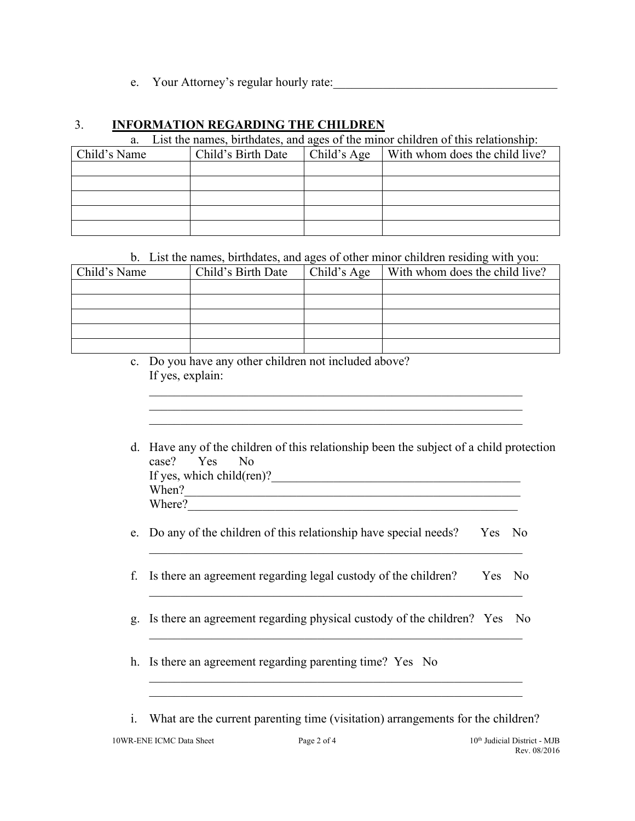e. Your Attorney's regular hourly rate:

## 3. **INFORMATION REGARDING THE CHILDREN**

a. List the names, birthdates, and ages of the minor children of this relationship:

| Child's Name | Child's Birth Date | Child's Age | With whom does the child live? |
|--------------|--------------------|-------------|--------------------------------|
|              |                    |             |                                |
|              |                    |             |                                |
|              |                    |             |                                |
|              |                    |             |                                |
|              |                    |             |                                |

b. List the names, birthdates, and ages of other minor children residing with you:

| Child's Name | Child's Birth Date | Child's Age | With whom does the child live? |
|--------------|--------------------|-------------|--------------------------------|
|              |                    |             |                                |
|              |                    |             |                                |
|              |                    |             |                                |
|              |                    |             |                                |
|              |                    |             |                                |

c. Do you have any other children not included above? If yes, explain:

| d. Have any of the children of this relationship been the subject of a child protection<br>case? Yes No |
|---------------------------------------------------------------------------------------------------------|
| If yes, which child $(\text{ren})$ ?                                                                    |
| When?                                                                                                   |
| Where?                                                                                                  |

\_\_\_\_\_\_\_\_\_\_\_\_\_\_\_\_\_\_\_\_\_\_\_\_\_\_\_\_\_\_\_\_\_\_\_\_\_\_\_\_\_\_\_\_\_\_\_\_\_\_\_\_\_\_\_\_\_\_\_\_ \_\_\_\_\_\_\_\_\_\_\_\_\_\_\_\_\_\_\_\_\_\_\_\_\_\_\_\_\_\_\_\_\_\_\_\_\_\_\_\_\_\_\_\_\_\_\_\_\_\_\_\_\_\_\_\_\_\_\_\_

e. Do any of the children of this relationship have special needs? Yes No

\_\_\_\_\_\_\_\_\_\_\_\_\_\_\_\_\_\_\_\_\_\_\_\_\_\_\_\_\_\_\_\_\_\_\_\_\_\_\_\_\_\_\_\_\_\_\_\_\_\_\_\_\_\_\_\_\_\_\_\_

- f. Is there an agreement regarding legal custody of the children? Yes No \_\_\_\_\_\_\_\_\_\_\_\_\_\_\_\_\_\_\_\_\_\_\_\_\_\_\_\_\_\_\_\_\_\_\_\_\_\_\_\_\_\_\_\_\_\_\_\_\_\_\_\_\_\_\_\_\_\_\_\_
- g. Is there an agreement regarding physical custody of the children? Yes No \_\_\_\_\_\_\_\_\_\_\_\_\_\_\_\_\_\_\_\_\_\_\_\_\_\_\_\_\_\_\_\_\_\_\_\_\_\_\_\_\_\_\_\_\_\_\_\_\_\_\_\_\_\_\_\_\_\_\_\_
- h. Is there an agreement regarding parenting time? Yes No
- i. What are the current parenting time (visitation) arrangements for the children?

\_\_\_\_\_\_\_\_\_\_\_\_\_\_\_\_\_\_\_\_\_\_\_\_\_\_\_\_\_\_\_\_\_\_\_\_\_\_\_\_\_\_\_\_\_\_\_\_\_\_\_\_\_\_\_\_\_\_\_\_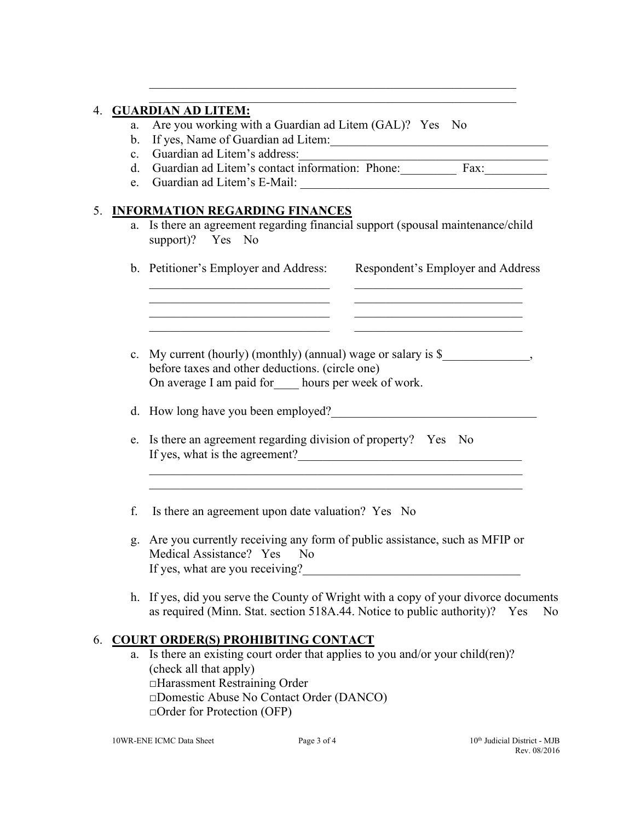### 4. **GUARDIAN AD LITEM:**

- a. Are you working with a Guardian ad Litem (GAL)? Yes No
- b. If yes, Name of Guardian ad Litem:
- c. Guardian ad Litem's address:
- d. Guardian ad Litem's contact information: Phone: Fax:
- e. Guardian ad Litem's E-Mail:

## 5. **INFORMATION REGARDING FINANCES**

a. Is there an agreement regarding financial support (spousal maintenance/child support)? Yes No

\_\_\_\_\_\_\_\_\_\_\_\_\_\_\_\_\_\_\_\_\_\_\_\_\_\_\_\_\_\_\_\_\_\_\_\_\_\_\_\_\_\_\_\_\_\_\_\_\_\_\_\_\_\_\_\_\_\_\_  $\mathcal{L}_\text{max} = \mathcal{L}_\text{max} = \mathcal{L}_\text{max} = \mathcal{L}_\text{max} = \mathcal{L}_\text{max} = \mathcal{L}_\text{max} = \mathcal{L}_\text{max} = \mathcal{L}_\text{max} = \mathcal{L}_\text{max} = \mathcal{L}_\text{max} = \mathcal{L}_\text{max} = \mathcal{L}_\text{max} = \mathcal{L}_\text{max} = \mathcal{L}_\text{max} = \mathcal{L}_\text{max} = \mathcal{L}_\text{max} = \mathcal{L}_\text{max} = \mathcal{L}_\text{max} = \mathcal{$ 

| b. Petitioner's Employer and Address:                           | Respondent's Employer and Address |  |  |  |
|-----------------------------------------------------------------|-----------------------------------|--|--|--|
|                                                                 |                                   |  |  |  |
|                                                                 |                                   |  |  |  |
| c. My current (hourly) (monthly) (annual) wage or salary is $\$ |                                   |  |  |  |
| before taxes and other deductions. (circle one)                 |                                   |  |  |  |
| On average I am paid for hours per week of work.                |                                   |  |  |  |

d. How long have you been employed?

- e. Is there an agreement regarding division of property? Yes No If yes, what is the agreement? $\frac{1}{\sqrt{2\pi}}$
- f. Is there an agreement upon date valuation? Yes No
- g. Are you currently receiving any form of public assistance, such as MFIP or Medical Assistance? Yes No If yes, what are you receiving?

 $\mathcal{L}_\text{max}$  , and the contribution of the contribution of the contribution of the contribution of the contribution of the contribution of the contribution of the contribution of the contribution of the contribution of t

h. If yes, did you serve the County of Wright with a copy of your divorce documents as required (Minn. Stat. section 518A.44. Notice to public authority)? Yes No

## 6. **COURT ORDER(S) PROHIBITING CONTACT**

a. Is there an existing court order that applies to you and/or your child(ren)? (check all that apply) □Harassment Restraining Order □Domestic Abuse No Contact Order (DANCO) □Order for Protection (OFP)